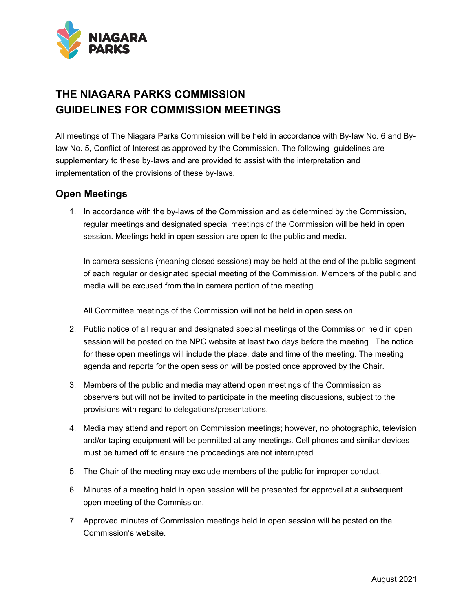

## **THE NIAGARA PARKS COMMISSION GUIDELINES FOR COMMISSION MEETINGS**

All meetings of The Niagara Parks Commission will be held in accordance with By-law No. 6 and Bylaw No. 5, Conflict of Interest as approved by the Commission. The following guidelines are supplementary to these by-laws and are provided to assist with the interpretation and implementation of the provisions of these by-laws.

## **Open Meetings**

1. In accordance with the by-laws of the Commission and as determined by the Commission, regular meetings and designated special meetings of the Commission will be held in open session. Meetings held in open session are open to the public and media.

In camera sessions (meaning closed sessions) may be held at the end of the public segment of each regular or designated special meeting of the Commission. Members of the public and media will be excused from the in camera portion of the meeting.

All Committee meetings of the Commission will not be held in open session.

- 2. Public notice of all regular and designated special meetings of the Commission held in open session will be posted on the NPC website at least two days before the meeting. The notice for these open meetings will include the place, date and time of the meeting. The meeting agenda and reports for the open session will be posted once approved by the Chair.
- 3. Members of the public and media may attend open meetings of the Commission as observers but will not be invited to participate in the meeting discussions, subject to the provisions with regard to delegations/presentations.
- 4. Media may attend and report on Commission meetings; however, no photographic, television and/or taping equipment will be permitted at any meetings. Cell phones and similar devices must be turned off to ensure the proceedings are not interrupted.
- 5. The Chair of the meeting may exclude members of the public for improper conduct.
- 6. Minutes of a meeting held in open session will be presented for approval at a subsequent open meeting of the Commission.
- 7. Approved minutes of Commission meetings held in open session will be posted on the Commission's website.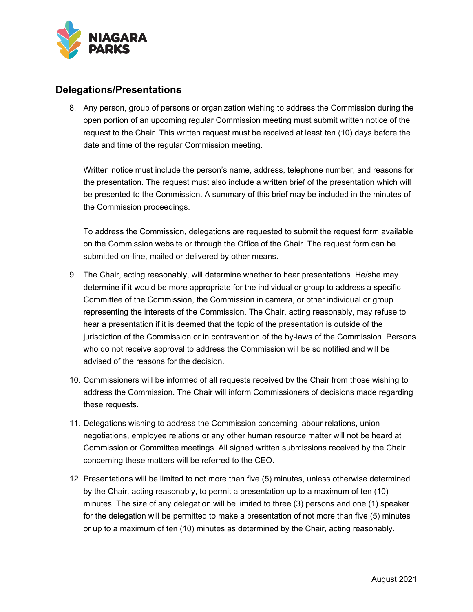

## **Delegations/Presentations**

8. Any person, group of persons or organization wishing to address the Commission during the open portion of an upcoming regular Commission meeting must submit written notice of the request to the Chair. This written request must be received at least ten (10) days before the date and time of the regular Commission meeting.

Written notice must include the person's name, address, telephone number, and reasons for the presentation. The request must also include a written brief of the presentation which will be presented to the Commission. A summary of this brief may be included in the minutes of the Commission proceedings.

To address the Commission, delegations are requested to submit the request form available on the Commission website or through the Office of the Chair. The request form can be submitted on-line, mailed or delivered by other means.

- 9. The Chair, acting reasonably, will determine whether to hear presentations. He/she may determine if it would be more appropriate for the individual or group to address a specific Committee of the Commission, the Commission in camera, or other individual or group representing the interests of the Commission. The Chair, acting reasonably, may refuse to hear a presentation if it is deemed that the topic of the presentation is outside of the jurisdiction of the Commission or in contravention of the by-laws of the Commission. Persons who do not receive approval to address the Commission will be so notified and will be advised of the reasons for the decision.
- 10. Commissioners will be informed of all requests received by the Chair from those wishing to address the Commission. The Chair will inform Commissioners of decisions made regarding these requests.
- 11. Delegations wishing to address the Commission concerning labour relations, union negotiations, employee relations or any other human resource matter will not be heard at Commission or Committee meetings. All signed written submissions received by the Chair concerning these matters will be referred to the CEO.
- 12. Presentations will be limited to not more than five (5) minutes, unless otherwise determined by the Chair, acting reasonably, to permit a presentation up to a maximum of ten (10) minutes. The size of any delegation will be limited to three (3) persons and one (1) speaker for the delegation will be permitted to make a presentation of not more than five (5) minutes or up to a maximum of ten (10) minutes as determined by the Chair, acting reasonably.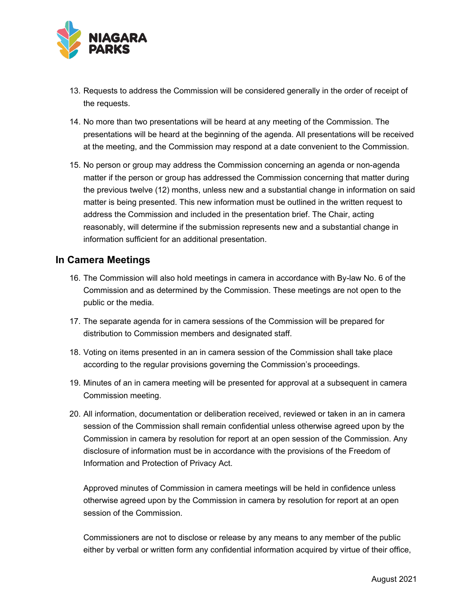

- 13. Requests to address the Commission will be considered generally in the order of receipt of the requests.
- 14. No more than two presentations will be heard at any meeting of the Commission. The presentations will be heard at the beginning of the agenda. All presentations will be received at the meeting, and the Commission may respond at a date convenient to the Commission.
- 15. No person or group may address the Commission concerning an agenda or non-agenda matter if the person or group has addressed the Commission concerning that matter during the previous twelve (12) months, unless new and a substantial change in information on said matter is being presented. This new information must be outlined in the written request to address the Commission and included in the presentation brief. The Chair, acting reasonably, will determine if the submission represents new and a substantial change in information sufficient for an additional presentation.

## **In Camera Meetings**

- 16. The Commission will also hold meetings in camera in accordance with By-law No. 6 of the Commission and as determined by the Commission. These meetings are not open to the public or the media.
- 17. The separate agenda for in camera sessions of the Commission will be prepared for distribution to Commission members and designated staff.
- 18. Voting on items presented in an in camera session of the Commission shall take place according to the regular provisions governing the Commission's proceedings.
- 19. Minutes of an in camera meeting will be presented for approval at a subsequent in camera Commission meeting.
- 20. All information, documentation or deliberation received, reviewed or taken in an in camera session of the Commission shall remain confidential unless otherwise agreed upon by the Commission in camera by resolution for report at an open session of the Commission. Any disclosure of information must be in accordance with the provisions of the Freedom of Information and Protection of Privacy Act.

Approved minutes of Commission in camera meetings will be held in confidence unless otherwise agreed upon by the Commission in camera by resolution for report at an open session of the Commission.

Commissioners are not to disclose or release by any means to any member of the public either by verbal or written form any confidential information acquired by virtue of their office,